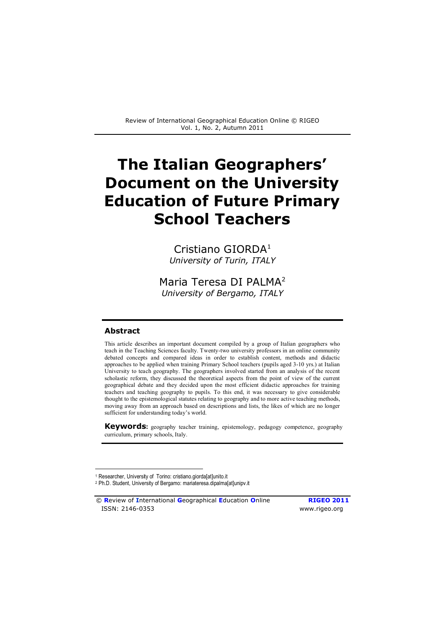# **The Italian Geographers' Document on the University Education of Future Primary School Teachers**

Cristiano GIORDA<sup>[1](#page-0-0)</sup> *University of Turin, ITALY*

Maria Teresa DI PALMA<sup>[2](#page-0-1)</sup> *University of Bergamo, ITALY* 

#### **Abstract**

 $\overline{a}$ 

This article describes an important document compiled by a group of Italian geographers who teach in the Teaching Sciences faculty. Twenty-two university professors in an online community debated concepts and compared ideas in order to establish content, methods and didactic approaches to be applied when training Primary School teachers (pupils aged 3-10 yrs.) at Italian University to teach geography. The geographers involved started from an analysis of the recent scholastic reform, they discussed the theoretical aspects from the point of view of the current geographical debate and they decided upon the most efficient didactic approaches for training teachers and teaching geography to pupils. To this end, it was necessary to give considerable thought to the epistemological statutes relating to geography and to more active teaching methods, moving away from an approach based on descriptions and lists, the likes of which are no longer sufficient for understanding today's world.

**Keywords5** geography teacher training, epistemology, pedagogy competence, geography curriculum, primary schools, Italy.

© **R**eview of **I**nternational **G**eographical **E**ducation **O**nline **RIGEO 2011** ISSN: 2146-0353 www.rigeo.org

<span id="page-0-0"></span><sup>1</sup> Researcher, University of Torino: cristiano.giorda[at]unito.it

<span id="page-0-1"></span><sup>2</sup> Ph.D. Student, University of Bergamo: mariateresa.dipalma[at]unipv.it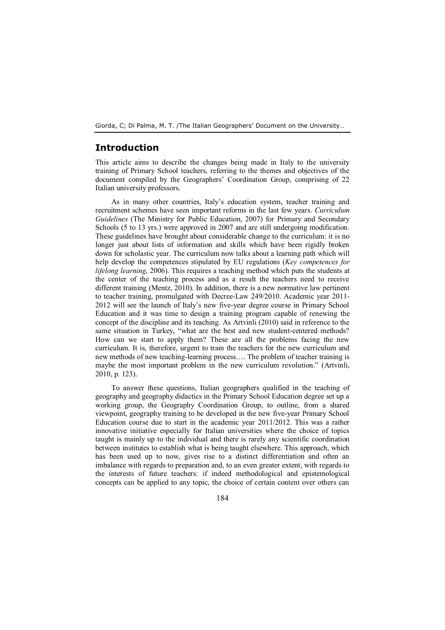## **Introduction**

This article aims to describe the changes being made in Italy to the university training of Primary School teachers, referring to the themes and objectives of the document compiled by the Geographers' Coordination Group, comprising of 22 Italian university professors.

As in many other countries, Italy's education system, teacher training and recruitment schemes have seen important reforms in the last few years. *Curriculum Guidelines* (The Ministry for Public Education, 2007) for Primary and Secondary Schools (5 to 13 yrs.) were approved in 2007 and are still undergoing modification. These guidelines have brought about considerable change to the curriculum: it is no longer just about lists of information and skills which have been rigidly broken down for scholastic year. The curriculum now talks about a learning path which will help develop the competences stipulated by EU regulations (*Key competences for lifelong learning*, 2006). This requires a teaching method which puts the students at the center of the teaching process and as a result the teachers need to receive different training (Mentz, 2010). In addition, there is a new normative law pertinent to teacher training, promulgated with Decree-Law 249/2010. Academic year 2011- 2012 will see the launch of Italy's new five-year degree course in Primary School Education and it was time to design a training program capable of renewing the concept of the discipline and its teaching. As Artvinli (2010) said in reference to the same situation in Turkey, "what are the best and new student-centered methods? How can we start to apply them? These are all the problems facing the new curriculum. It is, therefore, urgent to train the teachers for the new curriculum and new methods of new teaching-learning process…. The problem of teacher training is maybe the most important problem in the new curriculum revolution." (Artvinli, 2010, p. 123).

To answer these questions, Italian geographers qualified in the teaching of geography and geography didactics in the Primary School Education degree set up a working group, the Geography Coordination Group, to outline, from a shared viewpoint, geography training to be developed in the new five-year Primary School Education course due to start in the academic year 2011/2012. This was a rather innovative initiative especially for Italian universities where the choice of topics taught is mainly up to the individual and there is rarely any scientific coordination between institutes to establish what is being taught elsewhere. This approach, which has been used up to now, gives rise to a distinct differentiation and often an imbalance with regards to preparation and, to an even greater extent, with regards to the interests of future teachers: if indeed methodological and epistemological concepts can be applied to any topic, the choice of certain content over others can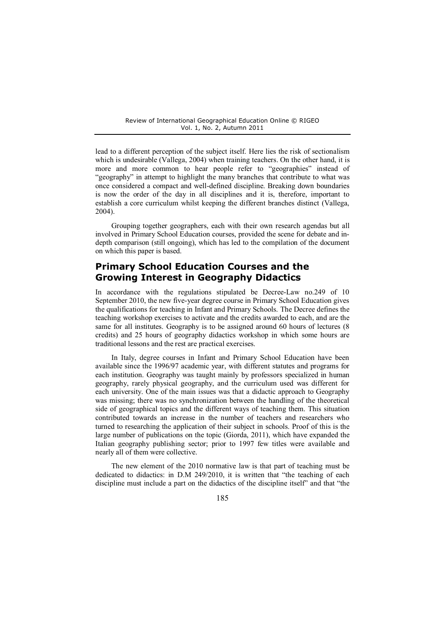lead to a different perception of the subject itself. Here lies the risk of sectionalism which is undesirable (Vallega, 2004) when training teachers. On the other hand, it is more and more common to hear people refer to "geographies" instead of "geography" in attempt to highlight the many branches that contribute to what was once considered a compact and well-defined discipline. Breaking down boundaries is now the order of the day in all disciplines and it is, therefore, important to establish a core curriculum whilst keeping the different branches distinct (Vallega, 2004).

Grouping together geographers, each with their own research agendas but all involved in Primary School Education courses, provided the scene for debate and indepth comparison (still ongoing), which has led to the compilation of the document on which this paper is based.

# **Primary School Education Courses and the Growing Interest in Geography Didactics**

In accordance with the regulations stipulated be Decree-Law no.249 of 10 September 2010, the new five-year degree course in Primary School Education gives the qualifications for teaching in Infant and Primary Schools. The Decree defines the teaching workshop exercises to activate and the credits awarded to each, and are the same for all institutes. Geography is to be assigned around 60 hours of lectures (8 credits) and 25 hours of geography didactics workshop in which some hours are traditional lessons and the rest are practical exercises.

In Italy, degree courses in Infant and Primary School Education have been available since the 1996/97 academic year, with different statutes and programs for each institution. Geography was taught mainly by professors specialized in human geography, rarely physical geography, and the curriculum used was different for each university. One of the main issues was that a didactic approach to Geography was missing; there was no synchronization between the handling of the theoretical side of geographical topics and the different ways of teaching them. This situation contributed towards an increase in the number of teachers and researchers who turned to researching the application of their subject in schools. Proof of this is the large number of publications on the topic (Giorda, 2011), which have expanded the Italian geography publishing sector; prior to 1997 few titles were available and nearly all of them were collective.

The new element of the 2010 normative law is that part of teaching must be dedicated to didactics: in D.M 249/2010, it is written that "the teaching of each discipline must include a part on the didactics of the discipline itself" and that "the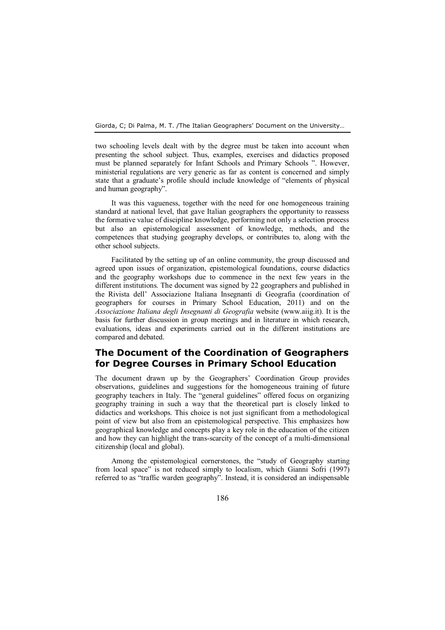two schooling levels dealt with by the degree must be taken into account when presenting the school subject. Thus, examples, exercises and didactics proposed must be planned separately for Infant Schools and Primary Schools ". However, ministerial regulations are very generic as far as content is concerned and simply state that a graduate's profile should include knowledge of "elements of physical and human geography".

It was this vagueness, together with the need for one homogeneous training standard at national level, that gave Italian geographers the opportunity to reassess the formative value of discipline knowledge, performing not only a selection process but also an epistemological assessment of knowledge, methods, and the competences that studying geography develops, or contributes to, along with the other school subjects.

Facilitated by the setting up of an online community, the group discussed and agreed upon issues of organization, epistemological foundations, course didactics and the geography workshops due to commence in the next few years in the different institutions. The document was signed by 22 geographers and published in the Rivista dell' Associazione Italiana Insegnanti di Geografia (coordination of geographers for courses in Primary School Education, 2011) and on the *Associazione Italiana degli Insegnanti di Geografia* website ([www.aiig.it\).](http://www.aiig.it/) It is the basis for further discussion in group meetings and in literature in which research, evaluations, ideas and experiments carried out in the different institutions are compared and debated.

# **The Document of the Coordination of Geographers for Degree Courses in Primary School Education**

The document drawn up by the Geographers' Coordination Group provides observations, guidelines and suggestions for the homogeneous training of future geography teachers in Italy. The "general guidelines" offered focus on organizing geography training in such a way that the theoretical part is closely linked to didactics and workshops. This choice is not just significant from a methodological point of view but also from an epistemological perspective. This emphasizes how geographical knowledge and concepts play a key role in the education of the citizen and how they can highlight the trans-scarcity of the concept of a multi-dimensional citizenship (local and global).

Among the epistemological cornerstones, the "study of Geography starting from local space" is not reduced simply to localism, which Gianni Sofri (1997) referred to as "traffic warden geography". Instead, it is considered an indispensable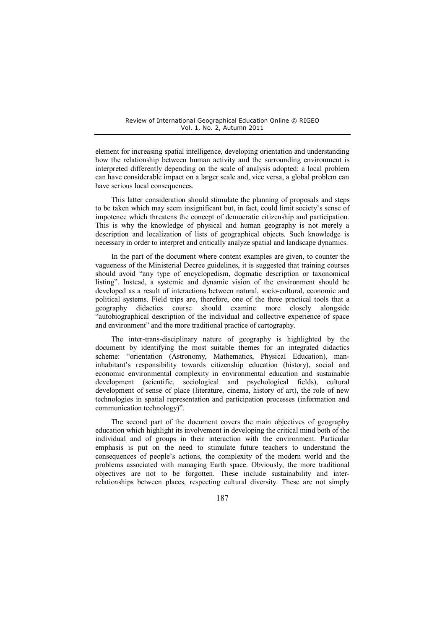element for increasing spatial intelligence, developing orientation and understanding how the relationship between human activity and the surrounding environment is interpreted differently depending on the scale of analysis adopted: a local problem can have considerable impact on a larger scale and, vice versa, a global problem can have serious local consequences.

This latter consideration should stimulate the planning of proposals and steps to be taken which may seem insignificant but, in fact, could limit society's sense of impotence which threatens the concept of democratic citizenship and participation. This is why the knowledge of physical and human geography is not merely a description and localization of lists of geographical objects. Such knowledge is necessary in order to interpret and critically analyze spatial and landscape dynamics.

In the part of the document where content examples are given, to counter the vagueness of the Ministerial Decree guidelines, it is suggested that training courses should avoid "any type of encyclopedism, dogmatic description or taxonomical listing". Instead, a systemic and dynamic vision of the environment should be developed as a result of interactions between natural, socio-cultural, economic and political systems. Field trips are, therefore, one of the three practical tools that a geography didactics course should examine more closely alongside "autobiographical description of the individual and collective experience of space and environment" and the more traditional practice of cartography.

The inter-trans-disciplinary nature of geography is highlighted by the document by identifying the most suitable themes for an integrated didactics scheme: "orientation (Astronomy, Mathematics, Physical Education), maninhabitant's responsibility towards citizenship education (history), social and economic environmental complexity in environmental education and sustainable development (scientific, sociological and psychological fields), cultural development of sense of place (literature, cinema, history of art), the role of new technologies in spatial representation and participation processes (information and communication technology)".

The second part of the document covers the main objectives of geography education which highlight its involvement in developing the critical mind both of the individual and of groups in their interaction with the environment. Particular emphasis is put on the need to stimulate future teachers to understand the consequences of people's actions, the complexity of the modern world and the problems associated with managing Earth space. Obviously, the more traditional objectives are not to be forgotten. These include sustainability and interrelationships between places, respecting cultural diversity. These are not simply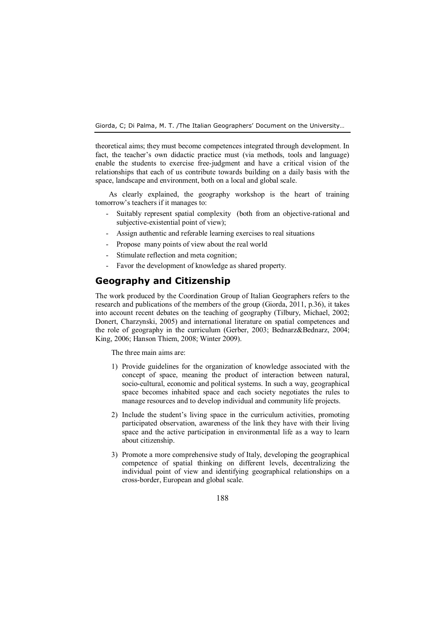theoretical aims; they must become competences integrated through development. In fact, the teacher's own didactic practice must (via methods, tools and language) enable the students to exercise free-judgment and have a critical vision of the relationships that each of us contribute towards building on a daily basis with the space, landscape and environment, both on a local and global scale.

As clearly explained, the geography workshop is the heart of training tomorrow's teachers if it manages to:

- Suitably represent spatial complexity (both from an objective-rational and subjective-existential point of view);
- Assign authentic and referable learning exercises to real situations
- Propose many points of view about the real world
- Stimulate reflection and meta cognition;
- Favor the development of knowledge as shared property.

# **Geography and Citizenship**

The work produced by the Coordination Group of Italian Geographers refers to the research and publications of the members of the group (Giorda, 2011, p.36), it takes into account recent debates on the teaching of geography (Tilbury, Michael, 2002; Donert, Charzynski, 2005) and international literature on spatial competences and the role of geography in the curriculum (Gerber, 2003; Bednarz&Bednarz, 2004; King, 2006; Hanson Thiem, 2008; Winter 2009).

The three main aims are:

- 1) Provide guidelines for the organization of knowledge associated with the concept of space, meaning the product of interaction between natural, socio-cultural, economic and political systems. In such a way, geographical space becomes inhabited space and each society negotiates the rules to manage resources and to develop individual and community life projects.
- 2) Include the student's living space in the curriculum activities, promoting participated observation, awareness of the link they have with their living space and the active participation in environmental life as a way to learn about citizenship.
- 3) Promote a more comprehensive study of Italy, developing the geographical competence of spatial thinking on different levels, decentralizing the individual point of view and identifying geographical relationships on a cross-border, European and global scale.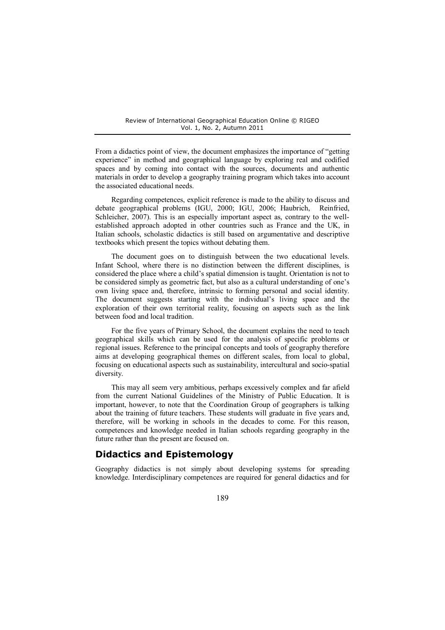From a didactics point of view, the document emphasizes the importance of "getting experience" in method and geographical language by exploring real and codified spaces and by coming into contact with the sources, documents and authentic materials in order to develop a geography training program which takes into account the associated educational needs.

Regarding competences, explicit reference is made to the ability to discuss and debate geographical problems (IGU, 2000; IGU, 2006; Haubrich, Reinfried, Schleicher, 2007). This is an especially important aspect as, contrary to the wellestablished approach adopted in other countries such as France and the UK, in Italian schools, scholastic didactics is still based on argumentative and descriptive textbooks which present the topics without debating them.

The document goes on to distinguish between the two educational levels. Infant School, where there is no distinction between the different disciplines, is considered the place where a child's spatial dimension is taught. Orientation is not to be considered simply as geometric fact, but also as a cultural understanding of one's own living space and, therefore, intrinsic to forming personal and social identity. The document suggests starting with the individual's living space and the exploration of their own territorial reality, focusing on aspects such as the link between food and local tradition.

For the five years of Primary School, the document explains the need to teach geographical skills which can be used for the analysis of specific problems or regional issues. Reference to the principal concepts and tools of geography therefore aims at developing geographical themes on different scales, from local to global, focusing on educational aspects such as sustainability, intercultural and socio-spatial diversity.

This may all seem very ambitious, perhaps excessively complex and far afield from the current National Guidelines of the Ministry of Public Education. It is important, however, to note that the Coordination Group of geographers is talking about the training of future teachers. These students will graduate in five years and, therefore, will be working in schools in the decades to come. For this reason, competences and knowledge needed in Italian schools regarding geography in the future rather than the present are focused on.

## **Didactics and Epistemology**

Geography didactics is not simply about developing systems for spreading knowledge. Interdisciplinary competences are required for general didactics and for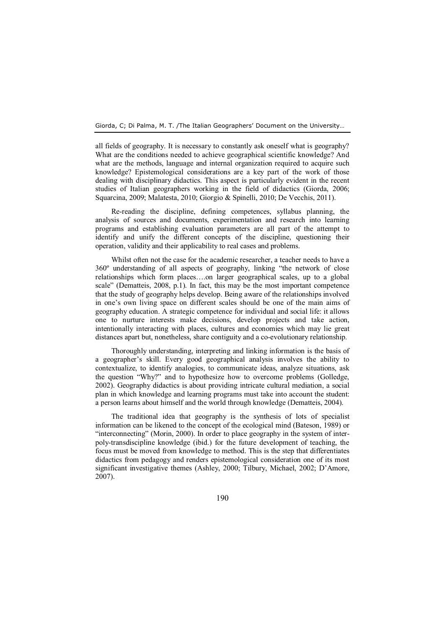all fields of geography. It is necessary to constantly ask oneself what is geography? What are the conditions needed to achieve geographical scientific knowledge? And what are the methods, language and internal organization required to acquire such knowledge? Epistemological considerations are a key part of the work of those dealing with disciplinary didactics. This aspect is particularly evident in the recent studies of Italian geographers working in the field of didactics (Giorda, 2006; Squarcina, 2009; Malatesta, 2010; Giorgio & Spinelli, 2010; De Vecchis, 2011).

Re-reading the discipline, defining competences, syllabus planning, the analysis of sources and documents, experimentation and research into learning programs and establishing evaluation parameters are all part of the attempt to identify and unify the different concepts of the discipline, questioning their operation, validity and their applicability to real cases and problems.

Whilst often not the case for the academic researcher, a teacher needs to have a 360º understanding of all aspects of geography, linking "the network of close relationships which form places….on larger geographical scales, up to a global scale" (Dematteis, 2008, p.1). In fact, this may be the most important competence that the study of geography helps develop. Being aware of the relationships involved in one's own living space on different scales should be one of the main aims of geography education. A strategic competence for individual and social life: it allows one to nurture interests make decisions, develop projects and take action, intentionally interacting with places, cultures and economies which may lie great distances apart but, nonetheless, share contiguity and a co-evolutionary relationship.

Thoroughly understanding, interpreting and linking information is the basis of a geographer's skill. Every good geographical analysis involves the ability to contextualize, to identify analogies, to communicate ideas, analyze situations, ask the question "Why?" and to hypothesize how to overcome problems (Golledge, 2002). Geography didactics is about providing intricate cultural mediation, a social plan in which knowledge and learning programs must take into account the student: a person learns about himself and the world through knowledge (Dematteis, 2004).

The traditional idea that geography is the synthesis of lots of specialist information can be likened to the concept of the ecological mind (Bateson, 1989) or "interconnecting" (Morin, 2000). In order to place geography in the system of interpoly-transdiscipline knowledge (ibid.) for the future development of teaching, the focus must be moved from knowledge to method. This is the step that differentiates didactics from pedagogy and renders epistemological consideration one of its most significant investigative themes (Ashley, 2000; Tilbury, Michael, 2002; D'Amore, 2007).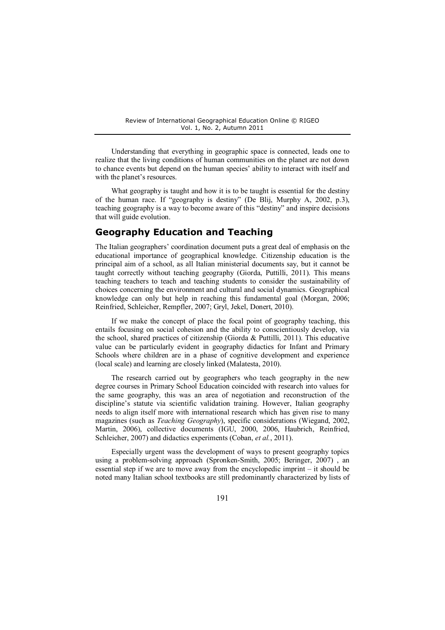Understanding that everything in geographic space is connected, leads one to realize that the living conditions of human communities on the planet are not down to chance events but depend on the human species' ability to interact with itself and with the planet's resources.

What geography is taught and how it is to be taught is essential for the destiny of the human race. If "geography is destiny" (De Blij, Murphy A, 2002, p.3), teaching geography is a way to become aware of this "destiny" and inspire decisions that will guide evolution.

### **Geography Education and Teaching**

The Italian geographers' coordination document puts a great deal of emphasis on the educational importance of geographical knowledge. Citizenship education is the principal aim of a school, as all Italian ministerial documents say, but it cannot be taught correctly without teaching geography (Giorda, Puttilli, 2011). This means teaching teachers to teach and teaching students to consider the sustainability of choices concerning the environment and cultural and social dynamics. Geographical knowledge can only but help in reaching this fundamental goal (Morgan, 2006; Reinfried, Schleicher, Rempfler, 2007; Gryl, Jekel, Donert, 2010).

If we make the concept of place the focal point of geography teaching, this entails focusing on social cohesion and the ability to conscientiously develop, via the school, shared practices of citizenship (Giorda & Puttilli, 2011). This educative value can be particularly evident in geography didactics for Infant and Primary Schools where children are in a phase of cognitive development and experience (local scale) and learning are closely linked (Malatesta, 2010).

The research carried out by geographers who teach geography in the new degree courses in Primary School Education coincided with research into values for the same geography, this was an area of negotiation and reconstruction of the discipline's statute via scientific validation training. However, Italian geography needs to align itself more with international research which has given rise to many magazines (such as *Teaching Geography*), specific considerations (Wiegand, 2002, Martin, 2006), collective documents (IGU, 2000, 2006, Haubrich, Reinfried, Schleicher, 2007) and didactics experiments (Coban, *et al.*, 2011).

Especially urgent wass the development of ways to present geography topics using a problem-solving approach (Spronken-Smith, 2005; Beringer, 2007) , an essential step if we are to move away from the encyclopedic imprint – it should be noted many Italian school textbooks are still predominantly characterized by lists of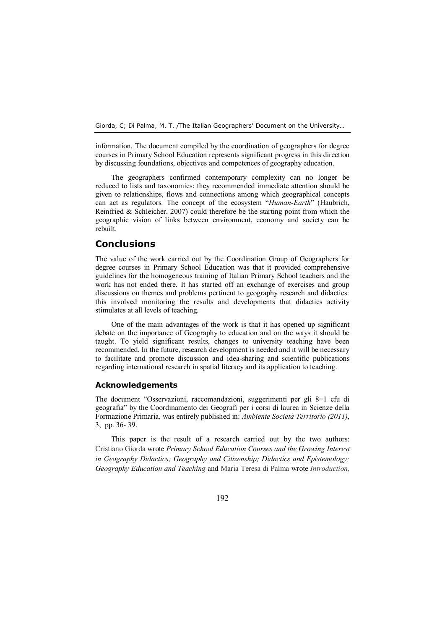information. The document compiled by the coordination of geographers for degree courses in Primary School Education represents significant progress in this direction by discussing foundations, objectives and competences of geography education.

The geographers confirmed contemporary complexity can no longer be reduced to lists and taxonomies: they recommended immediate attention should be given to relationships, flows and connections among which geographical concepts can act as regulators. The concept of the ecosystem "*Human-Earth*" (Haubrich, Reinfried  $& Schleicher, 2007$  could therefore be the starting point from which the geographic vision of links between environment, economy and society can be rebuilt.

## **Conclusions**

The value of the work carried out by the Coordination Group of Geographers for degree courses in Primary School Education was that it provided comprehensive guidelines for the homogeneous training of Italian Primary School teachers and the work has not ended there. It has started off an exchange of exercises and group discussions on themes and problems pertinent to geography research and didactics: this involved monitoring the results and developments that didactics activity stimulates at all levels of teaching.

One of the main advantages of the work is that it has opened up significant debate on the importance of Geography to education and on the ways it should be taught. To yield significant results, changes to university teaching have been recommended. In the future, research development is needed and it will be necessary to facilitate and promote discussion and idea-sharing and scientific publications regarding international research in spatial literacy and its application to teaching.

#### **Acknowledgements**

The document "Osservazioni, raccomandazioni, suggerimenti per gli 8+1 cfu di geografia" by the Coordinamento dei Geografi per i corsi di laurea in Scienze della Formazione Primaria, was entirely published in: *Ambiente Società Territorio (2011)*, 3, pp. 36- 39.

This paper is the result of a research carried out by the two authors: Cristiano Giorda wrote *Primary School Education Courses and the Growing Interest in Geography Didactics; Geography and Citizenship; Didactics and Epistemology; Geography Education and Teaching* and Maria Teresa di Palma wrote *Introduction,*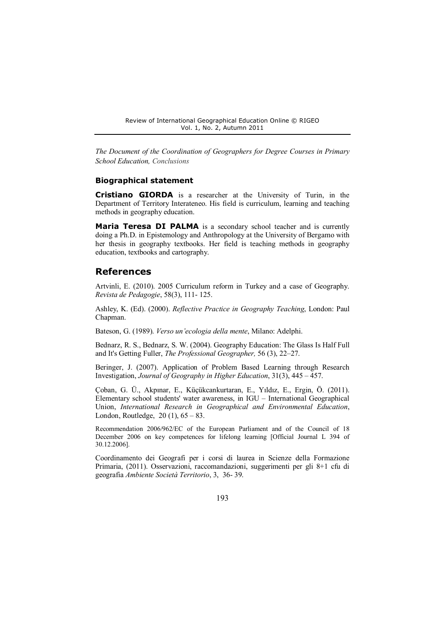*The Document of the Coordination of Geographers for Degree Courses in Primary School Education, Conclusions* 

#### **Biographical statement**

**Cristiano GIORDA** is a researcher at the University of Turin, in the Department of Territory Interateneo. His field is curriculum, learning and teaching methods in geography education.

**Maria Teresa DI PALMA** is a secondary school teacher and is currently doing a Ph.D. in Epistemology and Anthropology at the University of Bergamo with her thesis in geography textbooks. Her field is teaching methods in geography education, textbooks and cartography.

#### **References**

Artvinli, E. (2010). 2005 Curriculum reform in Turkey and a case of Geography. *Revista de Pedagogie*, 58(3), 111- 125.

Ashley, K. (Ed). (2000). *Reflective Practice in Geography Teaching*, London: Paul Chapman.

Bateson, G. (1989). *Verso un'ecologia della mente*, Milano: Adelphi.

Bednarz, R. S., Bednarz, S. W. (2004). Geography Education: The Glass Is Half Full and It's Getting Fuller, *The Professional Geographer,* 56 (3), 22–27.

Beringer, J. (2007). Application of Problem Based Learning through Research Investigation, *Journal of Geography in Higher Education*, 31(3), 445 – 457.

Çoban, G. Ü., Akpınar, E., Küçükcankurtaran, E., Yıldız, E., Ergin, Ö. (2011). Elementary school students' water awareness, in IGU – International Geographical Union, *International Research in Geographical and Environmental Education*, London, Routledge, 20 (1), 65 – 83.

Recommendation 2006/962/EC of the European Parliament and of the Council of 18 December 2006 on key competences for lifelong learning [Official Journal L 394 of 30.12.2006].

Coordinamento dei Geografi per i corsi di laurea in Scienze della Formazione Primaria, (2011). Osservazioni, raccomandazioni, suggerimenti per gli 8+1 cfu di geografia *Ambiente Società Territorio*, 3, 36- 39.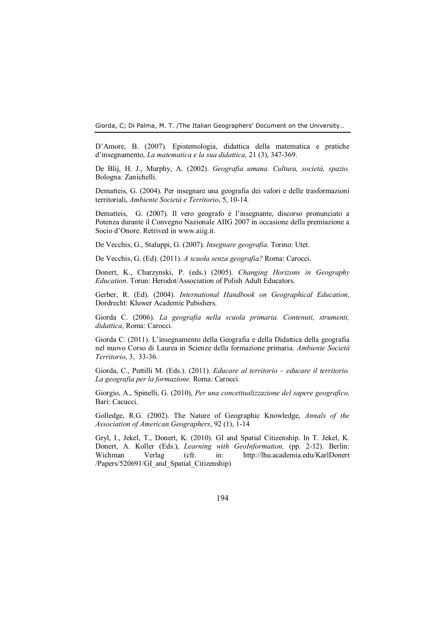D'Amore, B. (2007). Epistemologia, didattica della matematica e pratiche d'insegnamento, *La matematica e la sua didattica,* 21 (3), 347-369.

De Blij, H. J., Murphy, A. (2002). *Geografia umana. Cultura, società, spazio.* Bologna: Zanichelli.

Dematteis, G. (2004). Per insegnare una geografia dei valori e delle trasformazioni territoriali, *Ambiente Società e Territorio*, 5, 10-14.

Dematteis, G. (2007). Il vero geografo è l'insegnante, discorso pronunciato a Potenza durante il Convegno Nazionale AIIG 2007 in occasione della premiazione a Socio d'Onore. Retrived in [www.aiig.it.](http://www.aiig.it/)

De Vecchis, G., Staluppi, G. (2007). *Insegnare geografia*. Torino: Utet.

De Vecchis, G. (Ed). (2011). *A scuola senza geografia?* Roma: Carocci.

Donert, K., Charzynski, P. (eds.) (2005). *Changing Horizons in Geography Education*. Torun: Herodot/Association of Polish Adult Educators.

Gerber, R. (Ed). (2004). *International Handbook on Geographical Education*, Dordrecht: Kluwer Academic Pubishers.

Giorda C. (2006). *La geografia nella scuola primaria. Contenuti, strumenti, didattica*, Roma: Carocci.

Giorda C. (2011). L'insegnamento della Geografia e della Didattica della geografia nel nuovo Corso di Laurea in Scienze della formazione primaria. *Ambiente Società Territorio*, 3, 33-36.

Giorda, C., Puttilli M. (Eds.). (2011). *Educare al territorio – educare il territorio. La geografia per la formazione.* Roma: Carocci.

Giorgio, A., Spinelli, G. (2010), *Per una concettualizzazione del sapere geografico,*  Bari: Cacucci.

Golledge, R.G. (2002). The Nature of Geographic Knowledge, *Annals of the Association of American Geographers*, 92 (1), 1-14

Gryl, I., Jekel, T., Donert, K. (2010). GI and Spatial Citizenship. In T. Jekel, K. Donert, A. Koller (Eds.), *Learning with GeoInformation,* (pp. 2-12). Berlin: Wichman Verlag (cfr. in: [http://lhu.academia.edu/KarlDonert](http://lhu.academia.edu/KarlDonert%20/Papers/520691/GI_and_Spatial_Citizenship)  /Papers/520691/GI\_and\_Spatial\_Citizenship)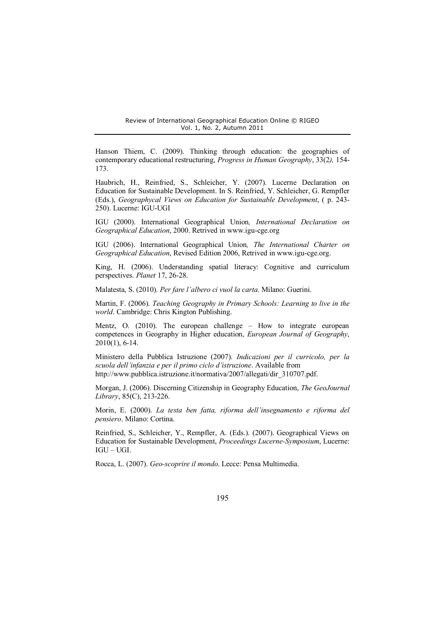Hanson Thiem, C. (2009). Thinking through education: the geographies of contemporary educational restructuring, *Progress in Human Geography*, 33(2*),* 154- 173.

Haubrich, H., Reinfried, S., Schleicher, Y. (2007). Lucerne Declaration on Education for Sustainable Development. In S. Reinfried, Y. Schleicher, G. Rempfler (Eds.), *Geographycal Views on Education for Sustainable Development*, ( p. 243- 250). Lucerne: IGU-UGI

IGU (2000). International Geographical Union*, International Declaration on Geographical Education*, 2000. Retrived in [www.igu-cge.org](http://www.igu-cge.org/) 

IGU (2006). International Geographical Union*, The International Charter on Geographical Education*, Revised Edition 2006, Retrived in [www.igu-cge.org.](http://www.igu-cge.org/)

King, H. (2006). Understanding spatial literacy: Cognitive and curriculum perspectives. *Planet* 17, 26-28.

Malatesta, S. (2010). *Per fare l'albero ci vuol la carta*. Milano: Guerini.

Martin, F. (2006). *Teaching Geography in Primary Schools: Learning to live in the world*. Cambridge: Chris Kington Publishing.

Mentz, O. (2010). The european challenge – How to integrate european competences in Geography in Higher education, *European Journal of Geography*, 2010(1), 6-14.

Ministero della Pubblica Istruzione (2007). *Indicazioni per il curricolo, per la scuola dell'infanzia e per il primo ciclo d'istruzione*. Available from [http://www.pubblica.istruzione.it/normativa/2007/allegati/dir\\_310707.pdf.](http://www.pubblica.istruzione.it/normativa/2007/allegati/dir_310707.pdf) 

Morgan, J. (2006). Discerning Citizenship in Geography Education, *The GeoJournal Library*, 85(C), 213-226.

Morin, E. (2000). *La testa ben fatta, riforma dell'insegnamento e riforma del pensiero*. Milano: Cortina.

Reinfried, S., Schleicher, Y., Rempfler, A. (Eds.). (2007). Geographical Views on Education for Sustainable Development, *Proceedings Lucerne-Symposium*, Lucerne: IGU – UGI.

Rocca, L. (2007). *Geo-scoprire il mondo*. Lecce: Pensa Multimedia.